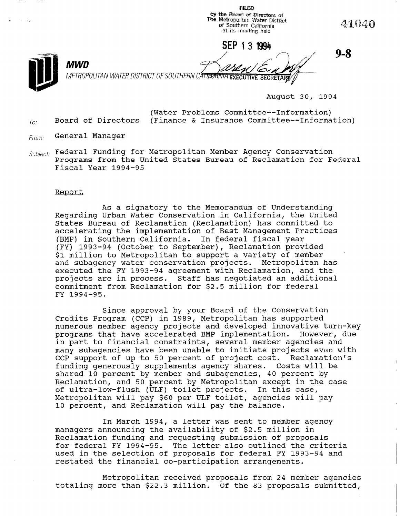the Board of Directors of<br>Metropolitan Water Distric . . . 41040 of Southern California at its meeting held SEP 13 1994 9-8 MWD METROPOLITAN WATER DISTRICT OF SOUTHERN CALI<del>DOMNIA EXECUTIVE SECRETAR</del>

August 30, 1994

(Water Problems Committee--Information)  $T_{C}$  Board of Directors (Finance & Insurance Committee--Information)

**FILED** 

- From: General Manager
- $\mathcal{S}ubject$ : Federal Funding for Metropolitan Member Agency Conservation Programs from the United States Bureau of Reclamation for Federal Fiscal Year 1994-95

### Report

As a signatory to the Memorandum of Understanding Regarding Urban Water Conservation in California, the United States Bureau of Reclamation (Reclamation) has committed to accelerating the implementation of Best Management Practices (BMP) in Southern California. In federal fiscal year (FY) 1993-94 (October to September), Reclamation provided \$1 million to Metropolitan to support a variety of member and subagency water conservation projects. Metropolitan has and subagency water conservation projects. Increportian ne<br>evecuted the FV 1993-94 agreement with Reclamation, and the executed the ri 1999 94 agreement with necidmation, and t projects are in process. Searr has hegocrated an additional FY 1994-95.

Since approval by your Board of the Conservation Credits Program (CCP) in 1989, Metropolitan has supported numerous member agency projects and developed innovative turn-key programs that have accelerated BMP implementation. However, due in part to financial constraints, several member agencies and many subagencies have been unable to initiate projects even with many supagencies nave been unable to initiate projects even.<br>COD support of up to 50 percent of project cost. Reclamatio funding generously supplements agency shares. Costs will be funding generously supplements agency shares. Costs will be shared 10 percent by member and subagencies, 40 percent by<br>Reclamation, and 50 percent by Metropolitan except in the case of ultra-low-flush (ULF) toilet projects. In this case, UL UILLA-IOW-TIUSH (ULF) LOIIEL PLOJECLS. IN LINS CASE,<br>Metropolitan will pay \$60 per ULF toilet, agencies will pay Metropolitan will pay \$60 per ULF toilet, agencies will pay<br>10 percent, and Reclamation will pay the balance.

In March 1994, a letter was sent to member agency mand the availability of the availability of the availability of the availability of the state in the state in the state of the state in the state in the state in the state in the state in the state in the state in the sta managers announcing the availability of \$2.5 million in Reclamation funding and requesting submission of proposals for federal FY 1994-95. The letter also outlined the criteria used in the selection of proposals for federal FY 1993-94 and<br>restated the financial co-participation arrangements.

Metropolitan received proposals from 24 member agencies metropolitan received proposals from 24 member agenc.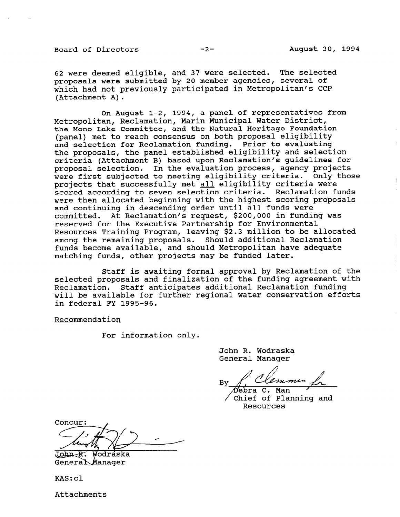Board of Directors -2- August 30, 1994

62 were deemed eligible, and 37 were selected. The selected proposals were submitted by 20 member agencies, several of which had not previously participated in Metropolitan's CCP (Attachment A).

On August 1-2, 1994, a panel of representatives from Metropolitan, Reclamation, Marin Municipal Water District, the Mono Lake Committee, and the Natural Heritage Foundation (panel) met to reach consensus on both proposal eligibility and selection for Reclamation funding. Prior to evaluating the proposals, the panel established eligibility and selection criteria (Attachment B) based upon Reclamation's guidelines for proposal selection. In the evaluation process, agency projects were first subjected to meeting eligibility criteria. Only those projects that successfully met all eligibility criteria were scored according to seven selection criteria. Reclamation funds were then allocated beginning with the highest scoring proposals and continuing in descending order until all funds were committed. At Reclamation's request, \$200,000 in funding was reserved for the Executive Partnership for Environmental Resources Training Program, leaving \$2.3 million to be allocated among the remaining proposals. Should additional Reclamation funds become available, and should Metropolitan have adequate matching funds, other projects may be funded later.

Staff is awaiting formal approval by Reclamation of the selected proposals and finalization of the funding agreement with Reclamation. Staff anticipates additional Reclamation funding will be available for further regional water conservation efforts in federal FY 1995-96.

Recommendation

For information only.

John R. Wodraska General Manager

emmin **B**<sub>V</sub>

 $\sqrt{C}$   $\frac{1}{2}$  of Planning and Personne<br>Tel OT B

Concur:

John R. Wodraska<br>General Manager

KAS:cl

Attachments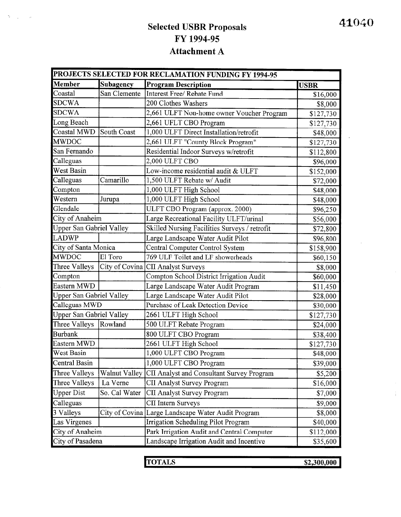# Selected USBR Proposals FY 1994-95 Attachment A

| PROJECTS SELECTED FOR RECLAMATION FUNDING FY 1994-95 |               |                                                    |             |  |
|------------------------------------------------------|---------------|----------------------------------------------------|-------------|--|
| <b>Member</b>                                        | Subagency     | <b>Program Description</b>                         | <b>USBR</b> |  |
| Coastal                                              | San Clemente  | Interest Free/ Rebate Fund                         | \$16,000    |  |
| <b>SDCWA</b>                                         |               | 200 Clothes Washers                                | \$8,000     |  |
| <b>SDCWA</b>                                         |               | 2,661 ULFT Non-home owner Voucher Program          | \$127,730   |  |
| Long Beach                                           |               | 2,661 UFLT CBO Program                             | \$127,730   |  |
| Coastal MWD                                          | South Coast   | 1,000 ULFT Direct Installation/retrofit            | \$48,000    |  |
| <b>MWDOC</b>                                         |               | 2,661 ULFT "County Block Program"                  | \$127,730   |  |
| San Fernando                                         |               | Residential Indoor Surveys w/retrofit              | \$112,800   |  |
| Calleguas                                            |               | 2,000 ULFT CBO                                     | \$96,000    |  |
| <b>West Basin</b>                                    |               | Low-income residential audit & ULFT                | \$152,000   |  |
| Calleguas                                            | Camarillo     | 1,500 ULFT Rebate w/ Audit                         | \$72,000    |  |
| Compton                                              |               | 1,000 ULFT High School                             | \$48,000    |  |
| Western                                              | Jurupa        | 1,000 ULFT High School                             | \$48,000    |  |
| Glendale                                             |               | ULFT CBO Program (approx. 2000)                    | \$96,250    |  |
| City of Anaheim                                      |               | Large Recreational Facility ULFT/urinal            | \$56,000    |  |
| <b>Upper San Gabriel Valley</b>                      |               | Skilled Nursing Facilities Surveys / retrofit      | \$72,800    |  |
| <b>LADWP</b>                                         |               | Large Landscape Water Audit Pilot                  | \$96,800    |  |
| City of Santa Monica                                 |               | Central Computer Control System                    | \$158,900   |  |
| <b>MWDOC</b>                                         | El Toro       | 769 ULF Toilet and LF showerheads                  | \$60,150    |  |
| Three Valleys                                        |               | City of Covina CII Analyst Surveys                 | \$8,000     |  |
| Compton                                              |               | Compton School District Irrigation Audit           | \$60,000    |  |
| Eastern MWD                                          |               | Large Landscape Water Audit Program                | \$11,450    |  |
| Upper San Gabriel Valley                             |               | Large Landscape Water Audit Pilot                  | \$28,000    |  |
| Calleguas MWD                                        |               | Purchase of Leak Detection Device                  | \$30,000    |  |
| <b>Upper San Gabriel Valley</b>                      |               | 2661 ULFT High School                              | \$127,730   |  |
| Three Valleys                                        | Rowland       | 500 ULFT Rebate Program                            | \$24,000    |  |
| <b>Burbank</b>                                       |               | 800 ULFT CBO Program                               | \$38,400    |  |
| Eastern MWD                                          |               | 2661 ULFT High School                              | \$127,730   |  |
| West Basin                                           |               | 1,000 ULFT CBO Program                             | \$48,000    |  |
| Central Basin                                        |               | 1,000 ULFT CBO Program                             | \$39,000    |  |
| Three Valleys                                        | Walnut Valley | CII Analyst and Consultant Survey Program          | \$5,200     |  |
| Three Valleys                                        | La Verne      | <b>CII Analyst Survey Program</b>                  | \$16,000    |  |
| <b>Upper Dist</b>                                    | So. Cal Water | <b>CII Analyst Survey Program</b>                  | \$7,000     |  |
| Calleguas                                            |               | CII Intern Surveys                                 | \$9,000     |  |
| 3 Valleys                                            |               | City of Covina Large Landscape Water Audit Program | \$8,000     |  |
| Las Virgenes                                         |               | <b>Irrigation Scheduling Pilot Program</b>         | \$40,000    |  |
| City of Anaheim                                      |               | Park Irrigation Audit and Central Computer         | \$112,000   |  |
| City of Pasadena                                     |               | Landscape Irrigation Audit and Incentive           | \$35,600    |  |

|               | $- - - - - - -$<br>--<br>-----<br>--- -- -- - | . |
|---------------|-----------------------------------------------|---|
| <b>TOTALS</b> | \$2,300,000<br>-----<br>---------             |   |
|               |                                               |   |

 $\frac{1}{4}$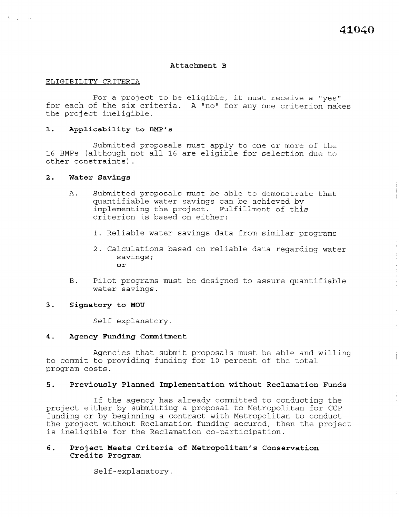Ť

### Attachment B

### ELIGIBILITY CRITERIA

For a project to be eligible, it must receive a "yes" for each of the six criteria. A "no" for any one criterion makes the project ineligible.

### 1. Applicability to BMP's

Submitted proposals must apply to one or more of the 16 BMPs (although not all 16 are eligible for selection due to other constraints).

### 2. Water Savings

- A. Submitted proposals must be able to demonstrate that quantifiable water savings can be achieved by implementing the project. Fulfillment of this criterion is based on either:
	- 1. Reliable water savings data from similar programs
	- 2. Calculations based on reliable data regarding water savings; or
- B. Pilot programs must be designed to assure quantifiable water savings.

### 3. Signatory to MOU

Self explanatory.

### 4. Agency Funding Commitment

Agencies that submit proposals must be able and willing to commit to providing funding for 10 percent of the total program costs.

### 5. Previously Planned Implementation without Reclamation Funds

If the agency has already committed to conducting the project either by submitting a proposal to Metropolitan for CCP funding or by beginning a contract with Metropolitan to conduct tunding of by beginning a concract with metropolitian to conduct the project writion recramation runding secu-

# 6. Project Meets Criteria of Metropolitan's Conservation Project meets<br>-

Self-explanatory.